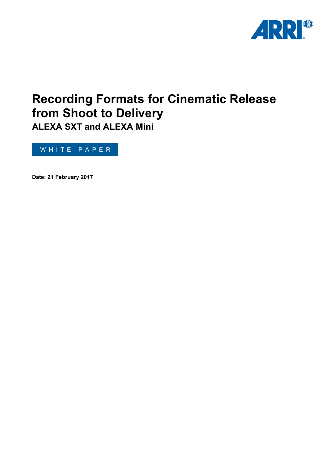

# **Recording Formats for Cinematic Release from Shoot to Delivery ALEXA SXT and ALEXA Mini**

WHITE PAPER

**Date: 21 February 2017**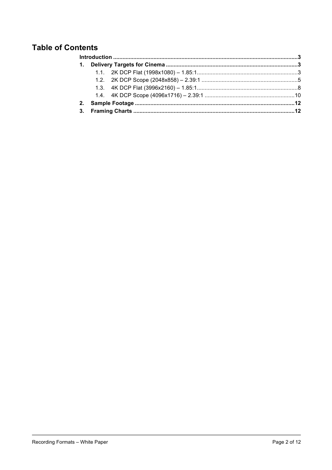## **Table of Contents**

| 2. |  |  |  |
|----|--|--|--|
|    |  |  |  |
|    |  |  |  |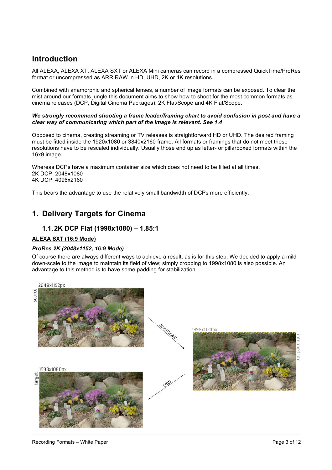## <span id="page-2-0"></span>**Introduction**

All ALEXA, ALEXA XT, ALEXA SXT or ALEXA Mini cameras can record in a compressed QuickTime/ProRes format or uncompressed as ARRIRAW in HD, UHD, 2K or 4K resolutions.

Combined with anamorphic and spherical lenses, a number of image formats can be exposed. To clear the mist around our formats jungle this document aims to show how to shoot for the most common formats as cinema releases (DCP, Digital Cinema Packages): 2K Flat/Scope and 4K Flat/Scope.

#### *We strongly recommend shooting a frame leader/framing chart to avoid confusion in post and have a clear way of communicating which part of the image is relevant. See 1.4*

Opposed to cinema, creating streaming or TV releases is straightforward HD or UHD. The desired framing must be fitted inside the 1920x1080 or 3840x2160 frame. All formats or framings that do not meet these resolutions have to be rescaled individually. Usually those end up as letter- or pillarboxed formats within the 16x9 image.

Whereas DCPs have a maximum container size which does not need to be filled at all times. 2K DCP: 2048x1080 4K DCP: 4096x2160

This bears the advantage to use the relatively small bandwidth of DCPs more efficiently.

## <span id="page-2-1"></span>**1. Delivery Targets for Cinema**

## <span id="page-2-2"></span>**1.1.2K DCP Flat (1998x1080) – 1.85:1**

#### **ALEXA SXT (16:9 Mode)**

#### *ProRes 2K (2048x1152, 16:9 Mode)*

Of course there are always different ways to achieve a result, as is for this step. We decided to apply a mild down-scale to the image to maintain its field of view; simply cropping to 1998x1080 is also possible. An advantage to this method is to have some padding for stabilization.

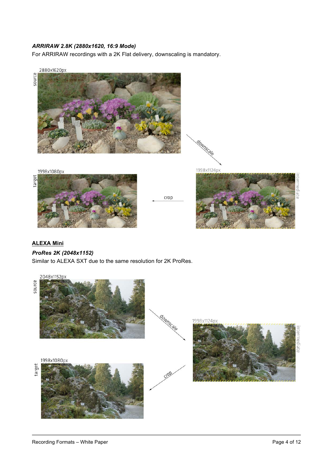## *ARRIRAW 2.8K (2880x1620, 16:9 Mode)*

For ARRIRAW recordings with a 2K Flat delivery, downscaling is mandatory.



## **ALEXA Mini**

### *ProRes 2K (2048x1152)*

Similar to ALEXA SXT due to the same resolution for 2K ProRes.

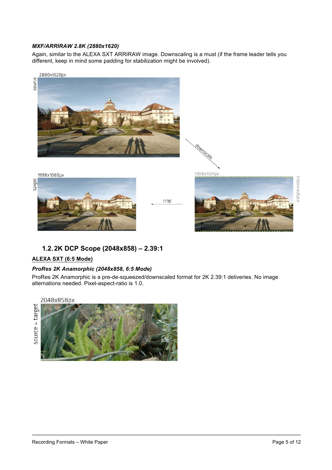## *MXF/ARRIRAW 2.8K (2880x1620)*

Again, similar to the ALEXA SXT ARRIRAW image. Downscaling is a must (if the frame leader tells you different, keep in mind some padding for stabilization might be involved).





downscale

<span id="page-4-0"></span>**1.2.2K DCP Scope (2048x858) – 2.39:1**

## **ALEXA SXT (6:5 Mode)**

#### *ProRes 2K Anamorphic (2048x858, 6:5 Mode)*

ProRes 2K Anamorphic is a pre-de-squeezed/downscaled format for 2K 2.39:1 deliveries. No image alternations needed. Pixel-aspect-ratio is 1.0.

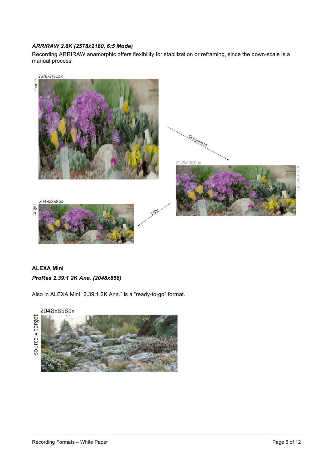## *ARRIRAW 2.6K (2578x2160, 6:5 Mode)*

Recording ARRIRAW anamorphic offers flexibility for stabilization or reframing, since the down-scale is a manual process.



## **ALEXA Mini** *ProRes 2.39:1 2K Ana. (2048x858)*

Also in ALEXA Mini "2.39:1 2K Ana." is a "ready-to-go" format.

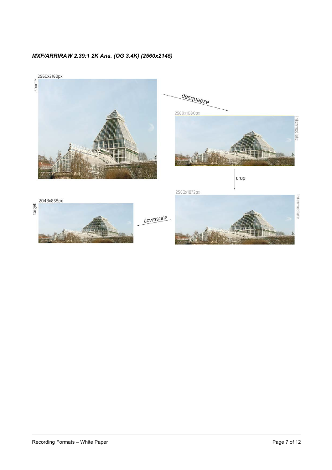



期間

用用

target



downscale

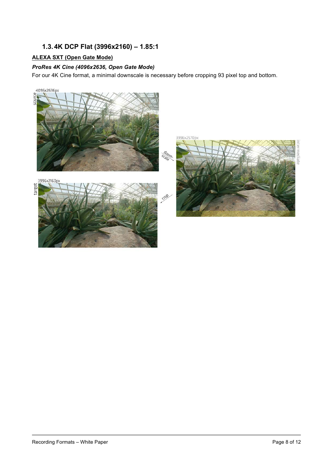## <span id="page-7-0"></span>**1.3.4K DCP Flat (3996x2160) – 1.85:1**

## **ALEXA SXT (Open Gate Mode)**

## *ProRes 4K Cine (4096x2636, Open Gate Mode)*

For our 4K Cine format, a minimal downscale is necessary before cropping 93 pixel top and bottom.

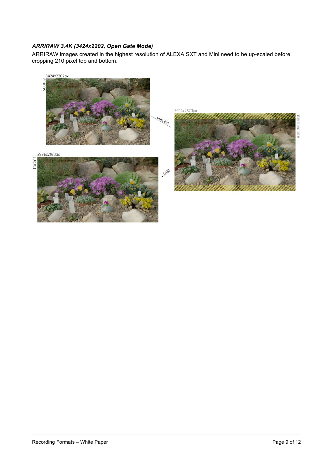## *ARRIRAW 3.4K (3424x2202, Open Gate Mode)*

ARRIRAW images created in the highest resolution of ALEXA SXT and Mini need to be up-scaled before cropping 210 pixel top and bottom.



target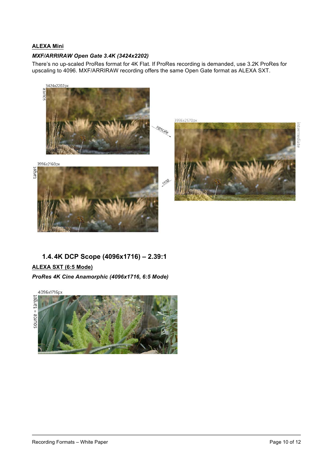## **ALEXA Mini**

#### *MXF/ARRIRAW Open Gate 3.4K (3424x2202)*

There's no up-scaled ProRes format for 4K Flat. If ProRes recording is demanded, use 3.2K ProRes for upscaling to 4096. MXF/ARRIRAW recording offers the same Open Gate format as ALEXA SXT.



<span id="page-9-0"></span>**1.4.4K DCP Scope (4096x1716) – 2.39:1**

## **ALEXA SXT (6:5 Mode)**

*ProRes 4K Cine Anamorphic (4096x1716, 6:5 Mode)*

4096x1716px

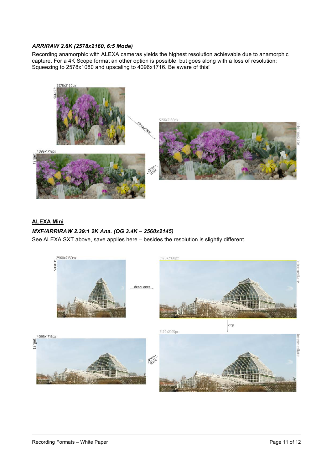### *ARRIRAW 2.6K (2578x2160, 6:5 Mode)*

Recording anamorphic with ALEXA cameras yields the highest resolution achievable due to anamorphic capture. For a 4K Scope format an other option is possible, but goes along with a loss of resolution: Squeezing to 2578x1080 and upscaling to 4096x1716. Be aware of this!



## **ALEXA Mini**

## *MXF/ARRIRAW 2.39:1 2K Ana. (OG 3.4K – 2560x2145)*